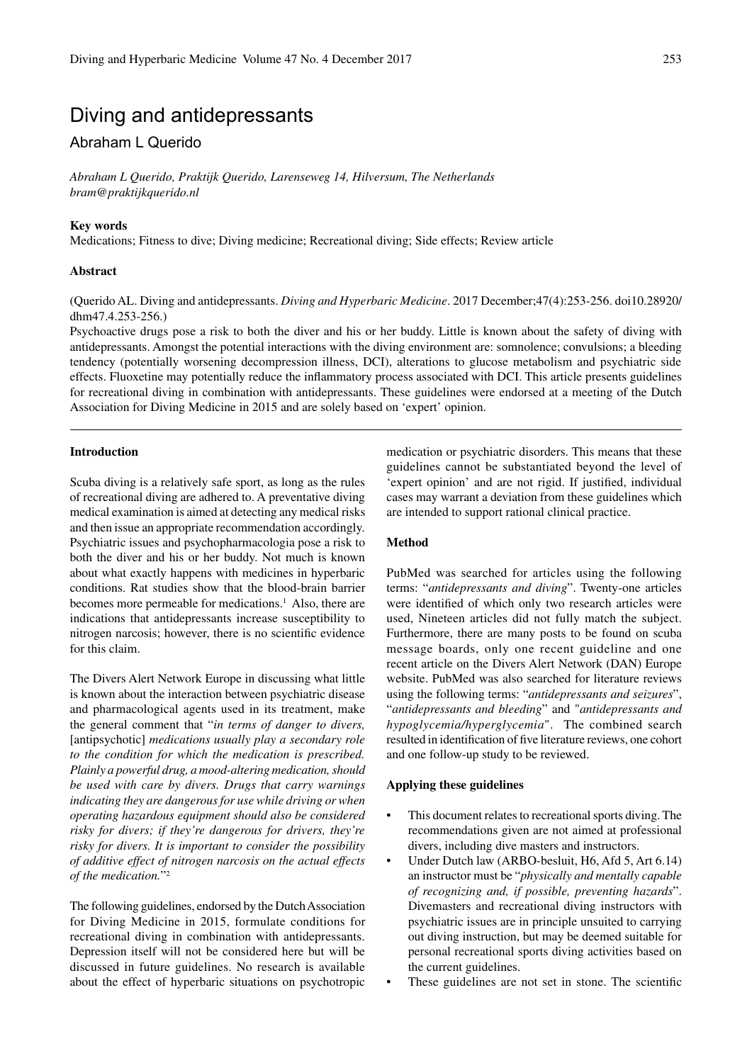# Diving and antidepressants

## Abraham L Querido

*Abraham L Querido, Praktijk Querido, Larenseweg 14, Hilversum, The Netherlands bram@praktijkquerido.nl*

## **Key words**

Medications; Fitness to dive; Diving medicine; Recreational diving; Side effects; Review article

## **Abstract**

(Querido AL. Diving and antidepressants. *Diving and Hyperbaric Medicine*. 2017 December;47(4):253-256. doi10.28920/ dhm47.4.253-256.)

Psychoactive drugs pose a risk to both the diver and his or her buddy. Little is known about the safety of diving with antidepressants. Amongst the potential interactions with the diving environment are: somnolence; convulsions; a bleeding tendency (potentially worsening decompression illness, DCI), alterations to glucose metabolism and psychiatric side effects. Fluoxetine may potentially reduce the inflammatory process associated with DCI. This article presents guidelines for recreational diving in combination with antidepressants. These guidelines were endorsed at a meeting of the Dutch Association for Diving Medicine in 2015 and are solely based on 'expert' opinion.

#### **Introduction**

Scuba diving is a relatively safe sport, as long as the rules of recreational diving are adhered to. A preventative diving medical examination is aimed at detecting any medical risks and then issue an appropriate recommendation accordingly. Psychiatric issues and psychopharmacologia pose a risk to both the diver and his or her buddy. Not much is known about what exactly happens with medicines in hyperbaric conditions. Rat studies show that the blood-brain barrier becomes more permeable for medications.<sup>1</sup> Also, there are indications that antidepressants increase susceptibility to nitrogen narcosis; however, there is no scientific evidence for this claim.

The Divers Alert Network Europe in discussing what little is known about the interaction between psychiatric disease and pharmacological agents used in its treatment, make the general comment that "*in terms of danger to divers,*  [antipsychotic] *medications usually play a secondary role to the condition for which the medication is prescribed. Plainly a powerful drug, a mood-altering medication, should be used with care by divers. Drugs that carry warnings indicating they are dangerous for use while driving or when operating hazardous equipment should also be considered risky for divers; if they're dangerous for drivers, they're risky for divers. It is important to consider the possibility of additive effect of nitrogen narcosis on the actual effects of the medication.*"2

The following guidelines, endorsed by the Dutch Association for Diving Medicine in 2015, formulate conditions for recreational diving in combination with antidepressants. Depression itself will not be considered here but will be discussed in future guidelines. No research is available about the effect of hyperbaric situations on psychotropic

medication or psychiatric disorders. This means that these guidelines cannot be substantiated beyond the level of 'expert opinion' and are not rigid. If justified, individual cases may warrant a deviation from these guidelines which are intended to support rational clinical practice.

#### **Method**

PubMed was searched for articles using the following terms: "*antidepressants and diving*". Twenty-one articles were identified of which only two research articles were used, Nineteen articles did not fully match the subject. Furthermore, there are many posts to be found on scuba message boards, only one recent guideline and one recent article on the Divers Alert Network (DAN) Europe website. PubMed was also searched for literature reviews using the following terms: "*antidepressants and seizures*", "*antidepressants and bleeding*" and "*antidepressants and hypoglycemia/hyperglycemia*". The combined search resulted in identification of five literature reviews, one cohort and one follow-up study to be reviewed.

#### **Applying these guidelines**

- This document relates to recreational sports diving. The recommendations given are not aimed at professional divers, including dive masters and instructors.
- Under Dutch law (ARBO-besluit, H6, Afd 5, Art 6.14) an instructor must be "*physically and mentally capable of recognizing and, if possible, preventing hazards*". Divemasters and recreational diving instructors with psychiatric issues are in principle unsuited to carrying out diving instruction, but may be deemed suitable for personal recreational sports diving activities based on the current guidelines.
- These guidelines are not set in stone. The scientific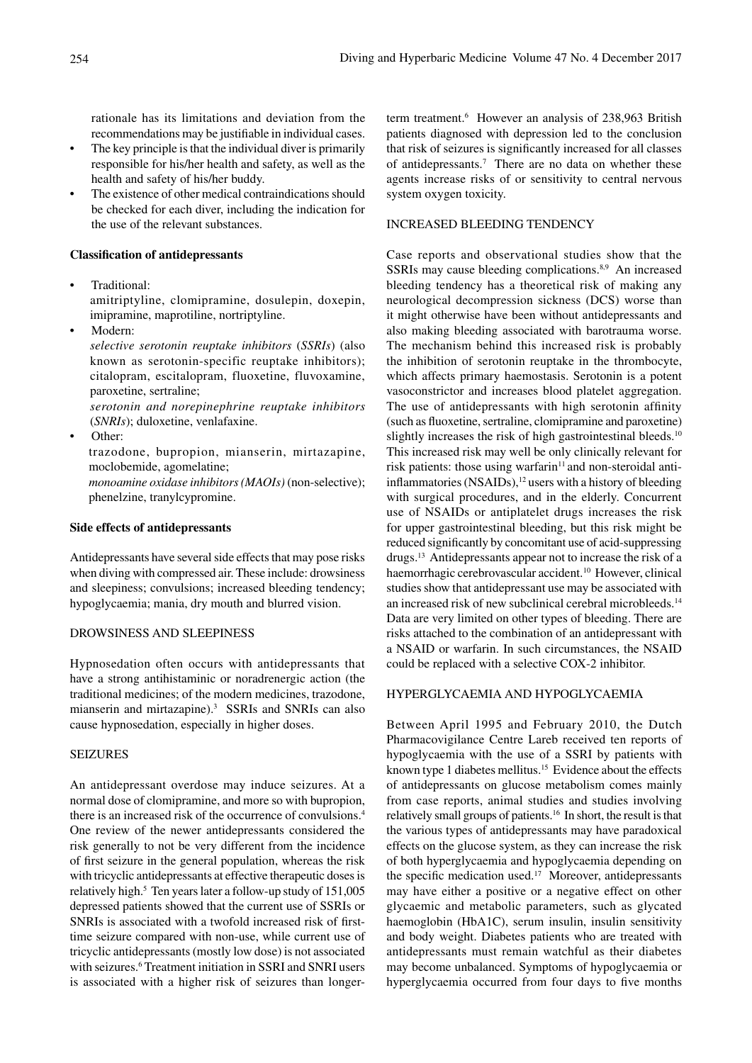rationale has its limitations and deviation from the recommendations may be justifiable in individual cases.

- The key principle is that the individual diver is primarily responsible for his/her health and safety, as well as the health and safety of his/her buddy.
- The existence of other medical contraindications should be checked for each diver, including the indication for the use of the relevant substances.

#### **Classification of antidepressants**

- Traditional: amitriptyline, clomipramine, dosulepin, doxepin, imipramine, maprotiline, nortriptyline.
- Modern:

*selective serotonin reuptake inhibitors* (*SSRIs*) (also known as serotonin-specific reuptake inhibitors); citalopram, escitalopram, fluoxetine, fluvoxamine, paroxetine, sertraline;

*serotonin and norepinephrine reuptake inhibitors*  (*SNRIs*); duloxetine, venlafaxine.

• Other:

trazodone, bupropion, mianserin, mirtazapine, moclobemide, agomelatine;

*monoamine oxidase inhibitors (MAOIs)* (non-selective); phenelzine, tranylcypromine.

## **Side effects of antidepressants**

Antidepressants have several side effects that may pose risks when diving with compressed air. These include: drowsiness and sleepiness; convulsions; increased bleeding tendency; hypoglycaemia; mania, dry mouth and blurred vision.

#### DROWSINESS AND SLEEPINESS

Hypnosedation often occurs with antidepressants that have a strong antihistaminic or noradrenergic action (the traditional medicines; of the modern medicines, trazodone, mianserin and mirtazapine).<sup>3</sup> SSRIs and SNRIs can also cause hypnosedation, especially in higher doses.

## SEIZURES

An antidepressant overdose may induce seizures. At a normal dose of clomipramine, and more so with bupropion, there is an increased risk of the occurrence of convulsions.4 One review of the newer antidepressants considered the risk generally to not be very different from the incidence of first seizure in the general population, whereas the risk with tricyclic antidepressants at effective therapeutic doses is relatively high.<sup>5</sup> Ten years later a follow-up study of 151,005 depressed patients showed that the current use of SSRIs or SNRIs is associated with a twofold increased risk of firsttime seizure compared with non-use, while current use of tricyclic antidepressants (mostly low dose) is not associated with seizures.<sup>6</sup> Treatment initiation in SSRI and SNRI users is associated with a higher risk of seizures than longer-

term treatment.<sup>6</sup> However an analysis of 238,963 British patients diagnosed with depression led to the conclusion that risk of seizures is significantly increased for all classes of antidepressants.7 There are no data on whether these agents increase risks of or sensitivity to central nervous system oxygen toxicity.

#### INCREASED BLEEDING TENDENCY

Case reports and observational studies show that the SSRIs may cause bleeding complications.<sup>8,9</sup> An increased bleeding tendency has a theoretical risk of making any neurological decompression sickness (DCS) worse than it might otherwise have been without antidepressants and also making bleeding associated with barotrauma worse. The mechanism behind this increased risk is probably the inhibition of serotonin reuptake in the thrombocyte, which affects primary haemostasis. Serotonin is a potent vasoconstrictor and increases blood platelet aggregation. The use of antidepressants with high serotonin affinity (such as fluoxetine, sertraline, clomipramine and paroxetine) slightly increases the risk of high gastrointestinal bleeds.<sup>10</sup> This increased risk may well be only clinically relevant for risk patients: those using warfarin $11$  and non-steroidal antiinflammatories (NSAIDs),<sup>12</sup> users with a history of bleeding with surgical procedures, and in the elderly. Concurrent use of NSAIDs or antiplatelet drugs increases the risk for upper gastrointestinal bleeding, but this risk might be reduced significantly by concomitant use of acid-suppressing drugs.<sup>13</sup> Antidepressants appear not to increase the risk of a haemorrhagic cerebrovascular accident.10 However, clinical studies show that antidepressant use may be associated with an increased risk of new subclinical cerebral microbleeds.<sup>14</sup> Data are very limited on other types of bleeding. There are risks attached to the combination of an antidepressant with a NSAID or warfarin. In such circumstances, the NSAID could be replaced with a selective COX-2 inhibitor.

## HYPERGLYCAEMIA AND HYPOGLYCAEMIA

Between April 1995 and February 2010, the Dutch Pharmacovigilance Centre Lareb received ten reports of hypoglycaemia with the use of a SSRI by patients with known type 1 diabetes mellitus.<sup>15</sup> Evidence about the effects of antidepressants on glucose metabolism comes mainly from case reports, animal studies and studies involving relatively small groups of patients.16 In short, the result is that the various types of antidepressants may have paradoxical effects on the glucose system, as they can increase the risk of both hyperglycaemia and hypoglycaemia depending on the specific medication used.<sup>17</sup> Moreover, antidepressants may have either a positive or a negative effect on other glycaemic and metabolic parameters, such as glycated haemoglobin (HbA1C), serum insulin, insulin sensitivity and body weight. Diabetes patients who are treated with antidepressants must remain watchful as their diabetes may become unbalanced. Symptoms of hypoglycaemia or hyperglycaemia occurred from four days to five months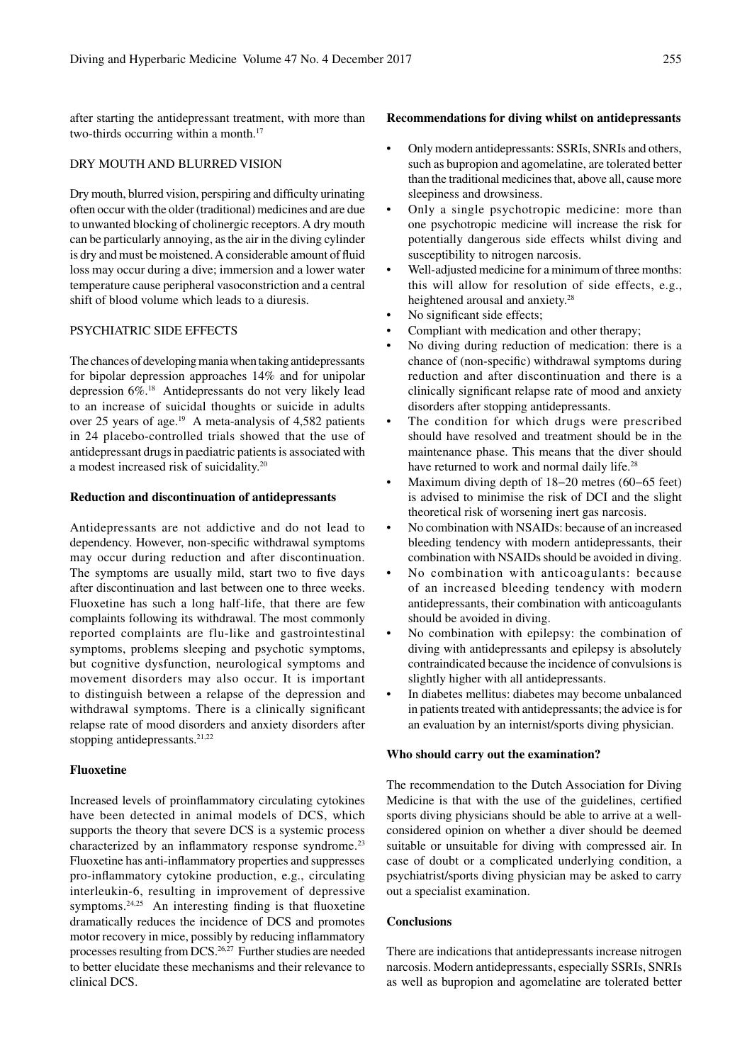after starting the antidepressant treatment, with more than two-thirds occurring within a month.<sup>17</sup>

## DRY MOUTH AND BLURRED VISION

Dry mouth, blurred vision, perspiring and difficulty urinating often occur with the older (traditional) medicines and are due to unwanted blocking of cholinergic receptors. A dry mouth can be particularly annoying, as the air in the diving cylinder is dry and must be moistened. A considerable amount of fluid loss may occur during a dive; immersion and a lower water temperature cause peripheral vasoconstriction and a central shift of blood volume which leads to a diuresis.

## PSYCHIATRIC SIDE EFFECTS

The chances of developing mania when taking antidepressants for bipolar depression approaches 14% and for unipolar depression 6%.18 Antidepressants do not very likely lead to an increase of suicidal thoughts or suicide in adults over 25 years of age.<sup>19</sup> A meta-analysis of 4,582 patients in 24 placebo-controlled trials showed that the use of antidepressant drugs in paediatric patients is associated with a modest increased risk of suicidality.20

#### **Reduction and discontinuation of antidepressants**

Antidepressants are not addictive and do not lead to dependency. However, non-specific withdrawal symptoms may occur during reduction and after discontinuation. The symptoms are usually mild, start two to five days after discontinuation and last between one to three weeks. Fluoxetine has such a long half-life, that there are few complaints following its withdrawal. The most commonly reported complaints are flu-like and gastrointestinal symptoms, problems sleeping and psychotic symptoms, but cognitive dysfunction, neurological symptoms and movement disorders may also occur. It is important to distinguish between a relapse of the depression and withdrawal symptoms. There is a clinically significant relapse rate of mood disorders and anxiety disorders after stopping antidepressants.<sup>21,22</sup>

## **Fluoxetine**

Increased levels of proinflammatory circulating cytokines have been detected in animal models of DCS, which supports the theory that severe DCS is a systemic process characterized by an inflammatory response syndrome.<sup>23</sup> Fluoxetine has anti-inflammatory properties and suppresses pro-inflammatory cytokine production, e.g., circulating interleukin-6, resulting in improvement of depressive symptoms. $24,25$  An interesting finding is that fluoxetine dramatically reduces the incidence of DCS and promotes motor recovery in mice, possibly by reducing inflammatory processes resulting from DCS.26,27 Further studies are needed to better elucidate these mechanisms and their relevance to clinical DCS.

#### **Recommendations for diving whilst on antidepressants**

- Only modern antidepressants: SSRIs, SNRIs and others, such as bupropion and agomelatine, are tolerated better than the traditional medicines that, above all, cause more sleepiness and drowsiness.
- Only a single psychotropic medicine: more than one psychotropic medicine will increase the risk for potentially dangerous side effects whilst diving and susceptibility to nitrogen narcosis.
- Well-adjusted medicine for a minimum of three months: this will allow for resolution of side effects, e.g., heightened arousal and anxiety.<sup>28</sup>
- No significant side effects;
- Compliant with medication and other therapy;
- No diving during reduction of medication: there is a chance of (non-specific) withdrawal symptoms during reduction and after discontinuation and there is a clinically significant relapse rate of mood and anxiety disorders after stopping antidepressants.
- The condition for which drugs were prescribed should have resolved and treatment should be in the maintenance phase. This means that the diver should have returned to work and normal daily life.<sup>28</sup>
- Maximum diving depth of 18−20 metres (60−65 feet) is advised to minimise the risk of DCI and the slight theoretical risk of worsening inert gas narcosis.
- No combination with NSAIDs: because of an increased bleeding tendency with modern antidepressants, their combination with NSAIDs should be avoided in diving.
- No combination with anticoagulants: because of an increased bleeding tendency with modern antidepressants, their combination with anticoagulants should be avoided in diving.
- No combination with epilepsy: the combination of diving with antidepressants and epilepsy is absolutely contraindicated because the incidence of convulsions is slightly higher with all antidepressants.
- In diabetes mellitus: diabetes may become unbalanced in patients treated with antidepressants; the advice is for an evaluation by an internist/sports diving physician.

#### **Who should carry out the examination?**

The recommendation to the Dutch Association for Diving Medicine is that with the use of the guidelines, certified sports diving physicians should be able to arrive at a wellconsidered opinion on whether a diver should be deemed suitable or unsuitable for diving with compressed air. In case of doubt or a complicated underlying condition, a psychiatrist/sports diving physician may be asked to carry out a specialist examination.

## **Conclusions**

There are indications that antidepressants increase nitrogen narcosis. Modern antidepressants, especially SSRIs, SNRIs as well as bupropion and agomelatine are tolerated better